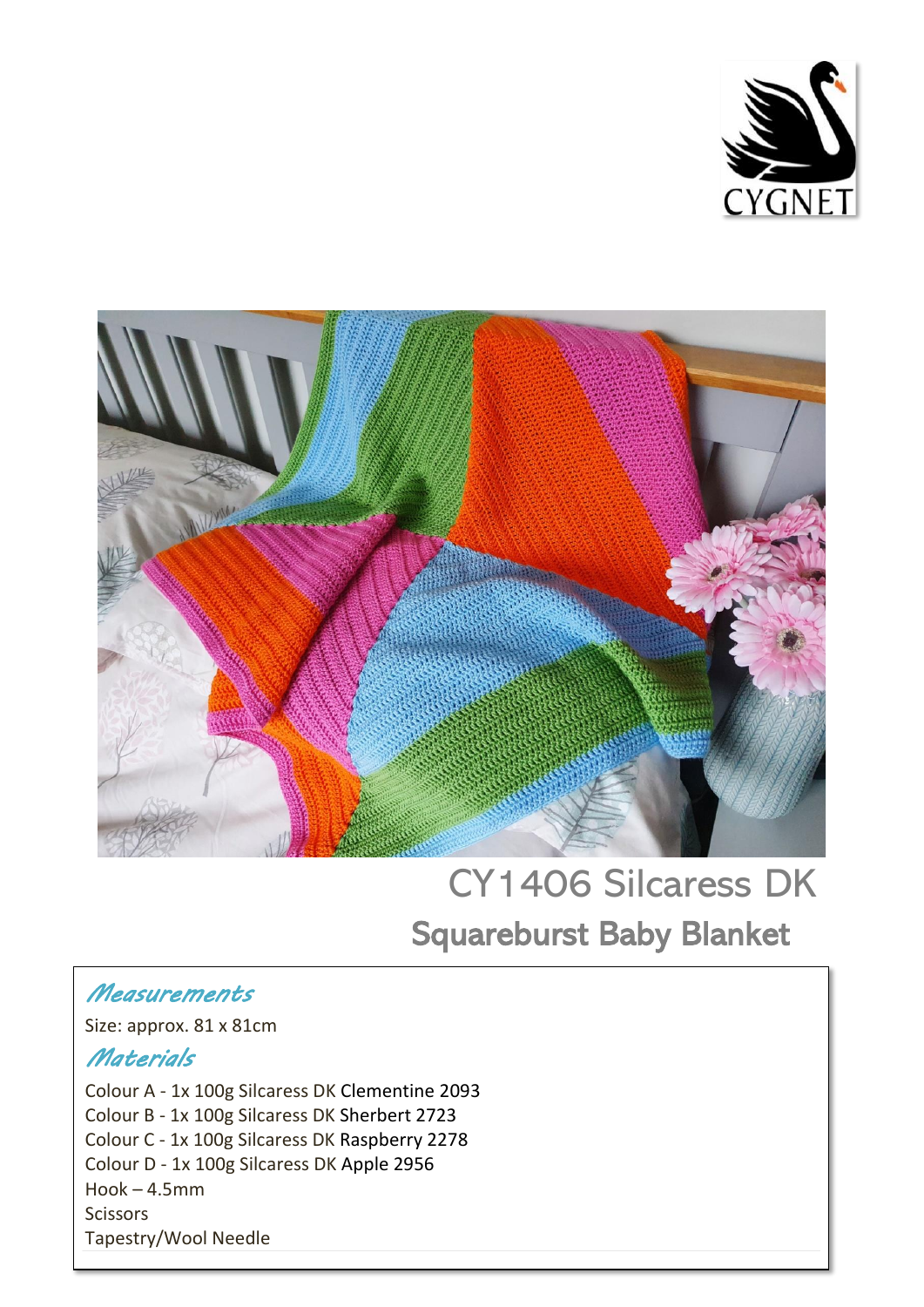



Ī

# CY1406 Silcaress DK Squareburst Baby Blanket

# *Measurements*

Size: approx. 81 x 81cm

## *Materials*

Colour A - 1x 100g Silcaress DK Clementine 2093 Colour B - 1x 100g Silcaress DK Sherbert 2723 Colour C - 1x 100g Silcaress DK Raspberry 2278 Colour D - 1x 100g Silcaress DK Apple 2956  $Hook - 4.5mm$ **Scissors** Tapestry/Wool Needle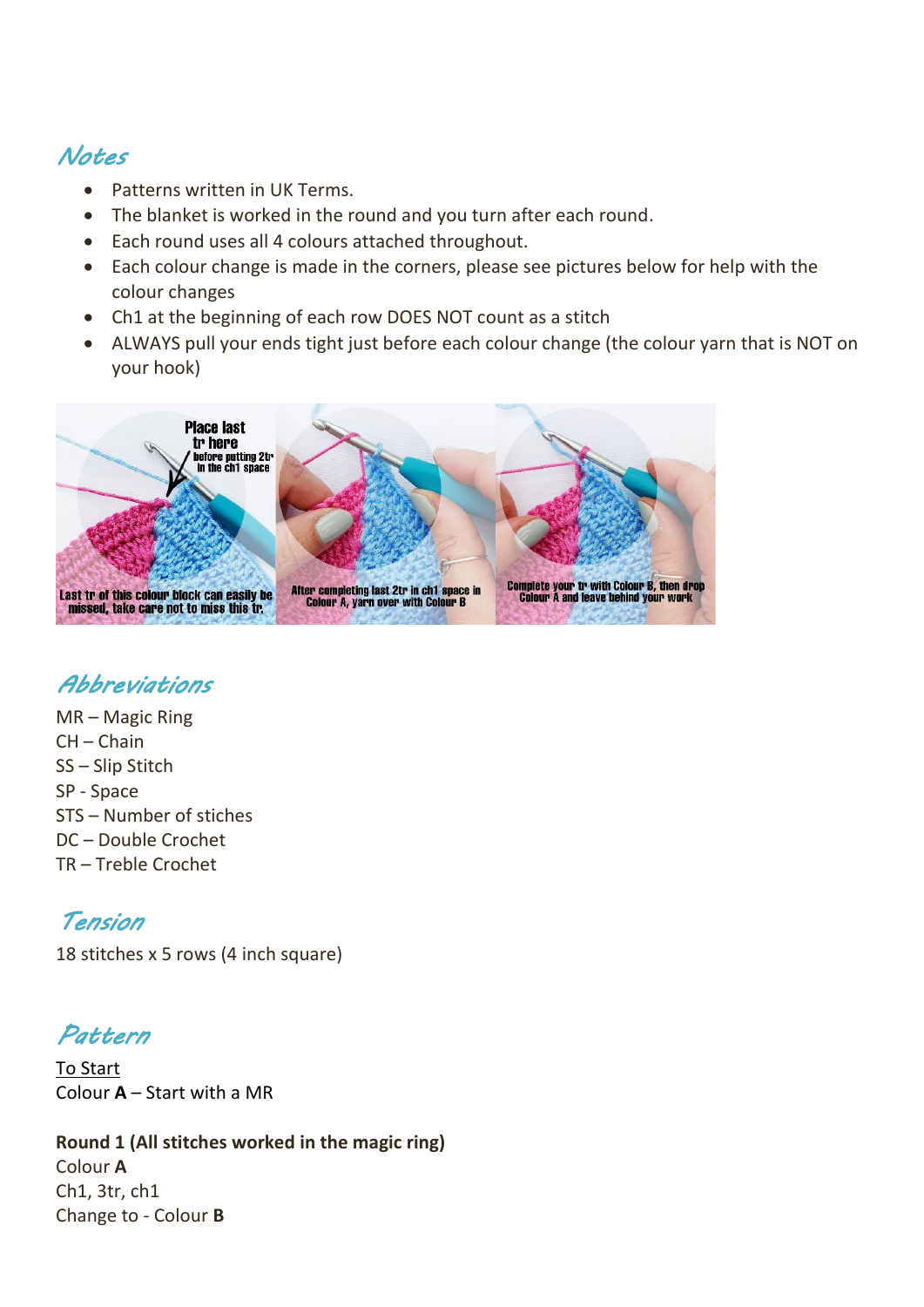# *Notes*

- Patterns written in UK Terms.
- The blanket is worked in the round and you turn after each round.
- Each round uses all 4 colours attached throughout.
- Each colour change is made in the corners, please see pictures below for help with the colour changes
- Ch1 at the beginning of each row DOES NOT count as a stitch
- ALWAYS pull your ends tight just before each colour change (the colour yarn that is NOT on your hook)



# *Abbreviations*

MR – Magic Ring CH – Chain SS – Slip Stitch SP - Space STS – Number of stiches DC – Double Crochet TR – Treble Crochet

# *Tension*

18 stitches x 5 rows (4 inch square)

*Pattern*

To Start Colour **A** – Start with a MR

**Round 1 (All stitches worked in the magic ring)** Colour **A** Ch1, 3tr, ch1 Change to - Colour **B**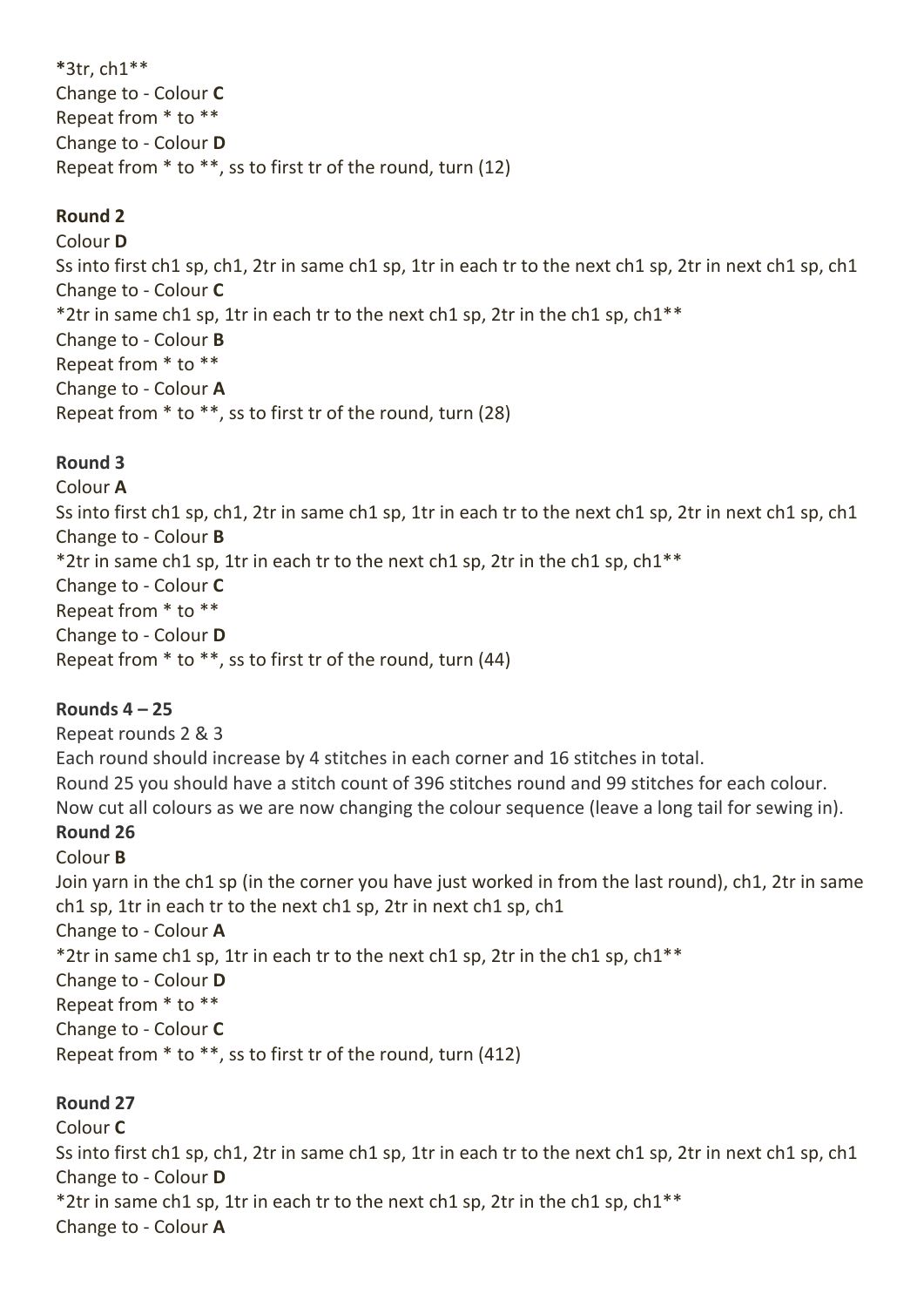**\***3tr, ch1\*\* Change to - Colour **C** Repeat from \* to \*\* Change to - Colour **D** Repeat from \* to \*\*, ss to first tr of the round, turn (12)

## **Round 2**

Colour **D** Ss into first ch1 sp, ch1, 2tr in same ch1 sp, 1tr in each tr to the next ch1 sp, 2tr in next ch1 sp, ch1 Change to - Colour **C** \*2tr in same ch1 sp, 1tr in each tr to the next ch1 sp, 2tr in the ch1 sp, ch1\*\* Change to - Colour **B** Repeat from \* to \*\* Change to - Colour **A** Repeat from \* to \*\*, ss to first tr of the round, turn (28)

## **Round 3**

Colour **A** Ss into first ch1 sp, ch1, 2tr in same ch1 sp, 1tr in each tr to the next ch1 sp, 2tr in next ch1 sp, ch1 Change to - Colour **B** \*2tr in same ch1 sp, 1tr in each tr to the next ch1 sp, 2tr in the ch1 sp, ch1\*\* Change to - Colour **C** Repeat from \* to \*\* Change to - Colour **D** Repeat from \* to \*\*, ss to first tr of the round, turn (44)

## **Rounds 4 – 25**

Repeat rounds 2 & 3 Each round should increase by 4 stitches in each corner and 16 stitches in total. Round 25 you should have a stitch count of 396 stitches round and 99 stitches for each colour. Now cut all colours as we are now changing the colour sequence (leave a long tail for sewing in). **Round 26** Colour **B** Join yarn in the ch1 sp (in the corner you have just worked in from the last round), ch1, 2tr in same ch1 sp, 1tr in each tr to the next ch1 sp, 2tr in next ch1 sp, ch1 Change to - Colour **A** \*2tr in same ch1 sp, 1tr in each tr to the next ch1 sp, 2tr in the ch1 sp, ch1\*\* Change to - Colour **D** Repeat from \* to \*\* Change to - Colour **C** Repeat from \* to \*\*, ss to first tr of the round, turn (412)

## **Round 27**

Colour **C** Ss into first ch1 sp, ch1, 2tr in same ch1 sp, 1tr in each tr to the next ch1 sp, 2tr in next ch1 sp, ch1 Change to - Colour **D** \*2tr in same ch1 sp, 1tr in each tr to the next ch1 sp, 2tr in the ch1 sp, ch1\*\* Change to - Colour **A**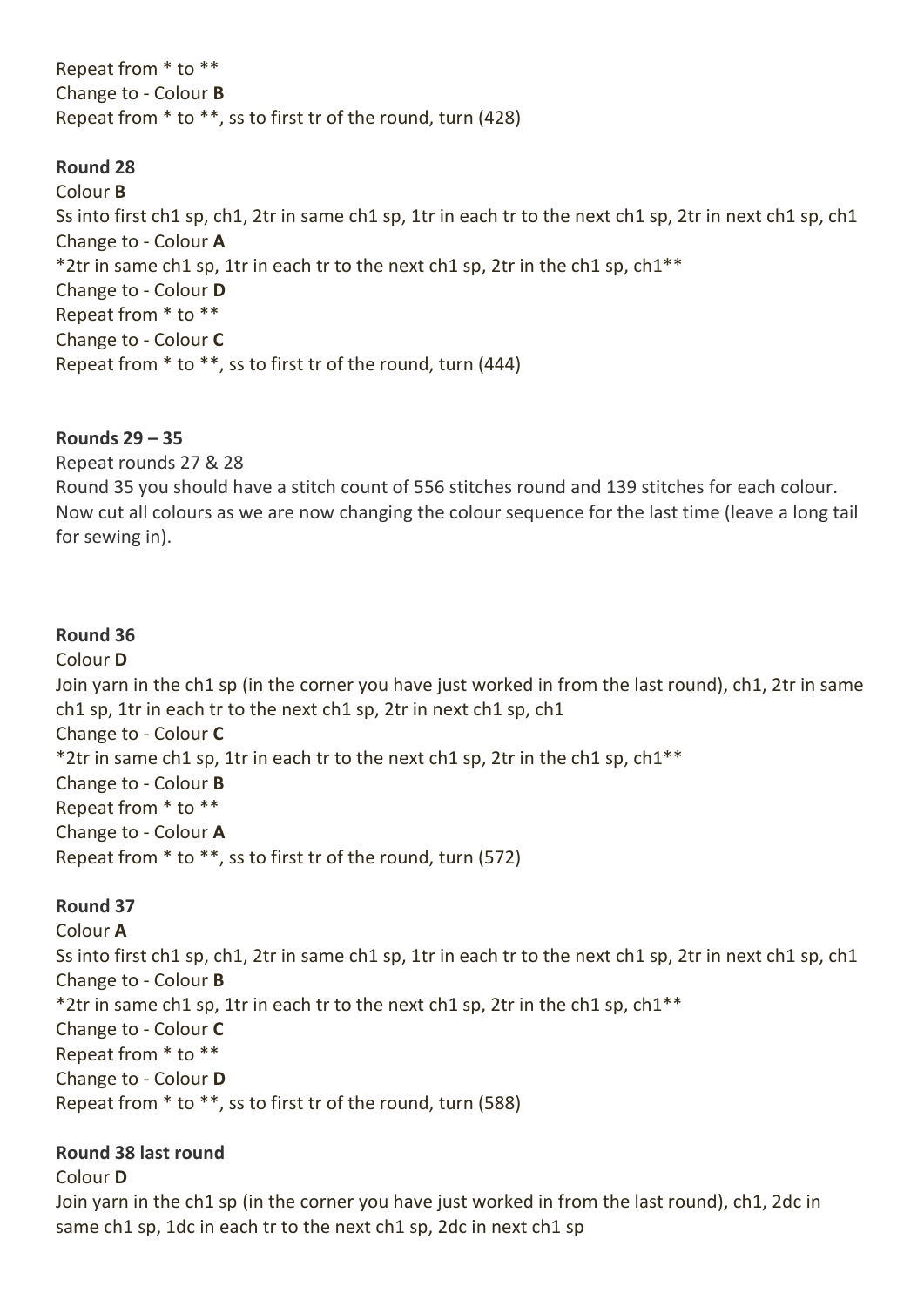Repeat from \* to \*\* Change to - Colour **B** Repeat from \* to \*\*, ss to first tr of the round, turn (428)

### **Round 28**

Colour **B** Ss into first ch1 sp, ch1, 2tr in same ch1 sp, 1tr in each tr to the next ch1 sp, 2tr in next ch1 sp, ch1 Change to - Colour **A** \*2tr in same ch1 sp, 1tr in each tr to the next ch1 sp, 2tr in the ch1 sp, ch1\*\* Change to - Colour **D** Repeat from \* to \*\* Change to - Colour **C** Repeat from \* to \*\*, ss to first tr of the round, turn (444)

#### **Rounds 29 – 35**

Repeat rounds 27 & 28 Round 35 you should have a stitch count of 556 stitches round and 139 stitches for each colour. Now cut all colours as we are now changing the colour sequence for the last time (leave a long tail for sewing in).

### **Round 36**

Colour **D** Join yarn in the ch1 sp (in the corner you have just worked in from the last round), ch1, 2tr in same ch1 sp, 1tr in each tr to the next ch1 sp, 2tr in next ch1 sp, ch1 Change to - Colour **C** \*2tr in same ch1 sp, 1tr in each tr to the next ch1 sp, 2tr in the ch1 sp, ch1\*\* Change to - Colour **B** Repeat from \* to \*\* Change to - Colour **A** Repeat from \* to \*\*, ss to first tr of the round, turn (572)

## **Round 37**

Colour **A** Ss into first ch1 sp, ch1, 2tr in same ch1 sp, 1tr in each tr to the next ch1 sp, 2tr in next ch1 sp, ch1 Change to - Colour **B** \*2tr in same ch1 sp, 1tr in each tr to the next ch1 sp, 2tr in the ch1 sp, ch1\*\* Change to - Colour **C** Repeat from \* to \*\* Change to - Colour **D** Repeat from \* to \*\*, ss to first tr of the round, turn (588)

## **Round 38 last round**

Colour **D**

Join yarn in the ch1 sp (in the corner you have just worked in from the last round), ch1, 2dc in same ch1 sp, 1dc in each tr to the next ch1 sp, 2dc in next ch1 sp